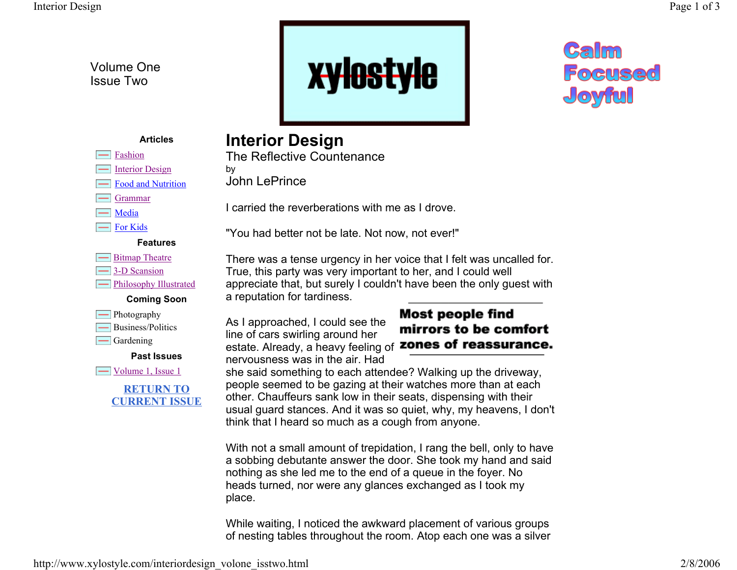Volume One Issue Two



## **Calm Focused** Joyful

#### **Articles**

- Fashion
- $\equiv$ Interior Design
- Food and Nutrition
- Grammar
- $\equiv$  Media
- For Kids

#### **Features**

**- Bitmap Theatre 3-D** Scansion **Film** Philosophy Illustrated

### **Coming Soon**



- Business/Politics
- $\Box$  Gardening

#### **Past Issues**

 $\equiv$  Volume 1, Issue 1

#### **RETURN TO CURRENT ISSUE**

### **Interior Design**

The Reflective Countenanceby

John LePrince

I carried the reverberations with me as I drove.

"You had better not be late. Not now, not ever!"

There was a tense urgency in her voice that I felt was uncalled for. True, this party was very important to her, and I could well appreciate that, but surely I couldn't have been the only guest with a reputation for tardiness.

As I approached, I could see the line of cars swirling around her estate. Already, a heavy feeling of **zones of reassurance.** nervousness was in the air. Had

# **Most people find** mirrors to be comfort

she said something to each attendee? Walking up the driveway, people seemed to be gazing at their watches more than at each other. Chauffeurs sank low in their seats, dispensing with their usual guard stances. And it was so quiet, why, my heavens, I don't think that I heard so much as a cough from anyone.

With not a small amount of trepidation, I rang the bell, only to have a sobbing debutante answer the door. She took my hand and said nothing as she led me to the end of a queue in the foyer. No heads turned, nor were any glances exchanged as I took my place.

While waiting, I noticed the awkward placement of various groups of nesting tables throughout the room. Atop each one was a silver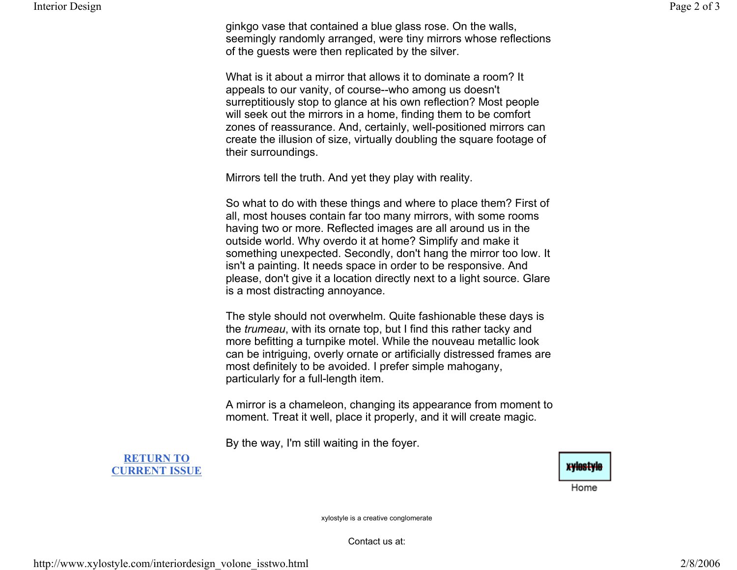ginkgo vase that contained a blue glass rose. On the walls, seemingly randomly arranged, were tiny mirrors whose reflections of the guests were then replicated by the silver.

What is it about a mirror that allows it to dominate a room? It appeals to our vanity, of course--who among us doesn't surreptitiously stop to glance at his own reflection? Most people will seek out the mirrors in a home, finding them to be comfort zones of reassurance. And, certainly, well-positioned mirrors can create the illusion of size, virtually doubling the square footage of their surroundings.

Mirrors tell the truth. And yet they play with reality.

So what to do with these things and where to place them? First of all, most houses contain far too many mirrors, with some rooms having two or more. Reflected images are all around us in the outside world. Why overdo it at home? Simplify and make it something unexpected. Secondly, don't hang the mirror too low. It isn't a painting. It needs space in order to be responsive. And please, don't give it a location directly next to a light source. Glare is a most distracting annoyance.

The style should not overwhelm. Quite fashionable these days is the *trumeau*, with its ornate top, but I find this rather tacky and more befitting a turnpike motel. While the nouveau metallic look can be intriguing, overly ornate or artificially distressed frames are most definitely to be avoided. I prefer simple mahogany, particularly for a full-length item.

A mirror is a chameleon, changing its appearance from moment to moment. Treat it well, place it properly, and it will create magic.

By the way, I'm still waiting in the foyer.

#### **RETURN TOCURRENT ISSUE**



xylostyle is a creative conglomerate

Contact us at: